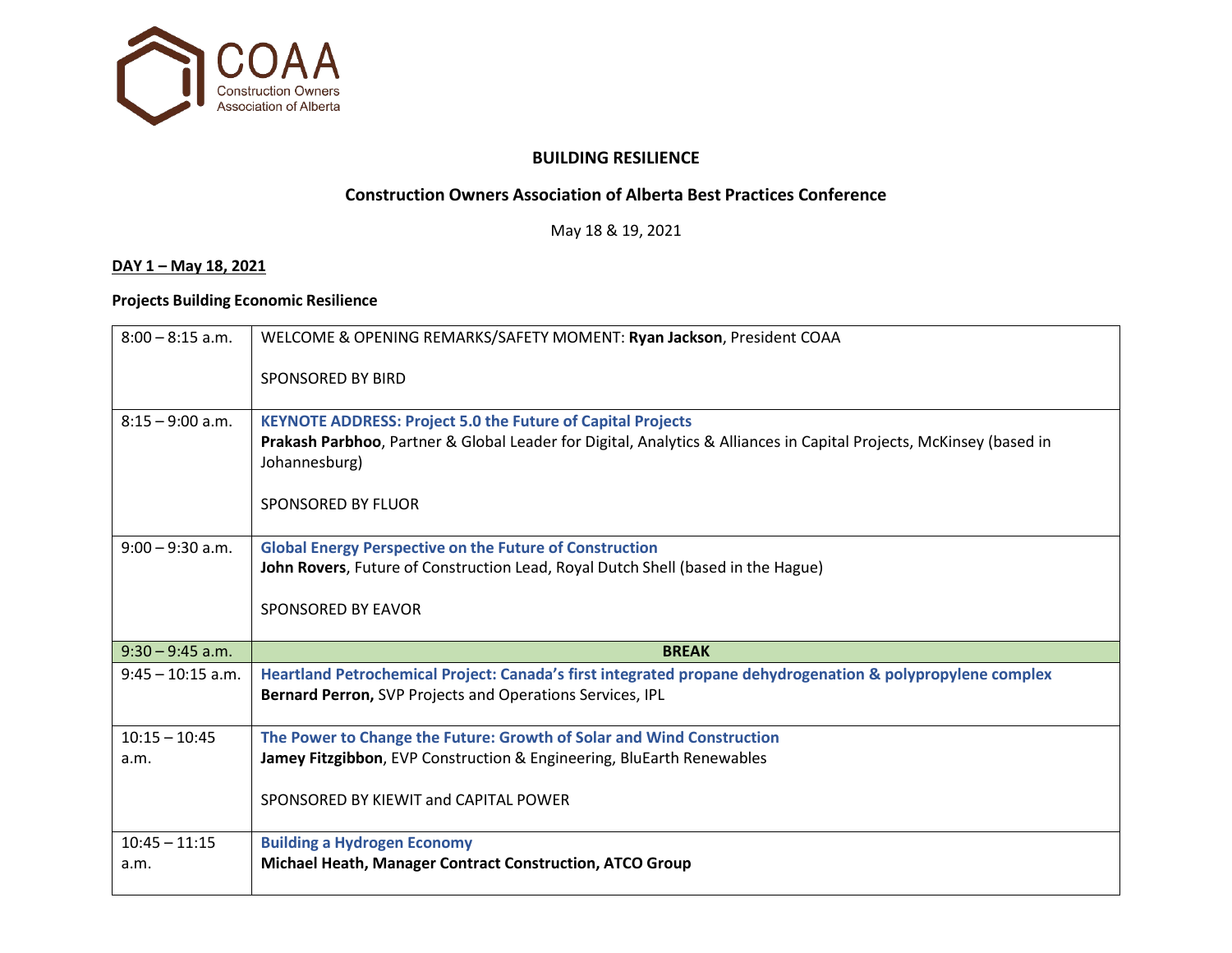

#### **BUILDING RESILIENCE**

# **Construction Owners Association of Alberta Best Practices Conference**

May 18 & 19, 2021

#### **DAY 1 – May 18, 2021**

### **Projects Building Economic Resilience**

| $8:00 - 8:15$ a.m.  | WELCOME & OPENING REMARKS/SAFETY MOMENT: Ryan Jackson, President COAA                                                                                                                                                            |  |  |  |  |
|---------------------|----------------------------------------------------------------------------------------------------------------------------------------------------------------------------------------------------------------------------------|--|--|--|--|
|                     | SPONSORED BY BIRD                                                                                                                                                                                                                |  |  |  |  |
| $8:15 - 9:00$ a.m.  | <b>KEYNOTE ADDRESS: Project 5.0 the Future of Capital Projects</b><br>Prakash Parbhoo, Partner & Global Leader for Digital, Analytics & Alliances in Capital Projects, McKinsey (based in<br>Johannesburg)<br>SPONSORED BY FLUOR |  |  |  |  |
| $9:00 - 9:30$ a.m.  | <b>Global Energy Perspective on the Future of Construction</b><br>John Rovers, Future of Construction Lead, Royal Dutch Shell (based in the Hague)<br>SPONSORED BY EAVOR                                                         |  |  |  |  |
| $9:30 - 9:45$ a.m.  | <b>BREAK</b>                                                                                                                                                                                                                     |  |  |  |  |
| $9:45 - 10:15$ a.m. | Heartland Petrochemical Project: Canada's first integrated propane dehydrogenation & polypropylene complex<br>Bernard Perron, SVP Projects and Operations Services, IPL                                                          |  |  |  |  |
| $10:15 - 10:45$     | The Power to Change the Future: Growth of Solar and Wind Construction                                                                                                                                                            |  |  |  |  |
| a.m.                | Jamey Fitzgibbon, EVP Construction & Engineering, BluEarth Renewables                                                                                                                                                            |  |  |  |  |
|                     | SPONSORED BY KIEWIT and CAPITAL POWER                                                                                                                                                                                            |  |  |  |  |
| $10:45 - 11:15$     | <b>Building a Hydrogen Economy</b>                                                                                                                                                                                               |  |  |  |  |
| a.m.                | Michael Heath, Manager Contract Construction, ATCO Group                                                                                                                                                                         |  |  |  |  |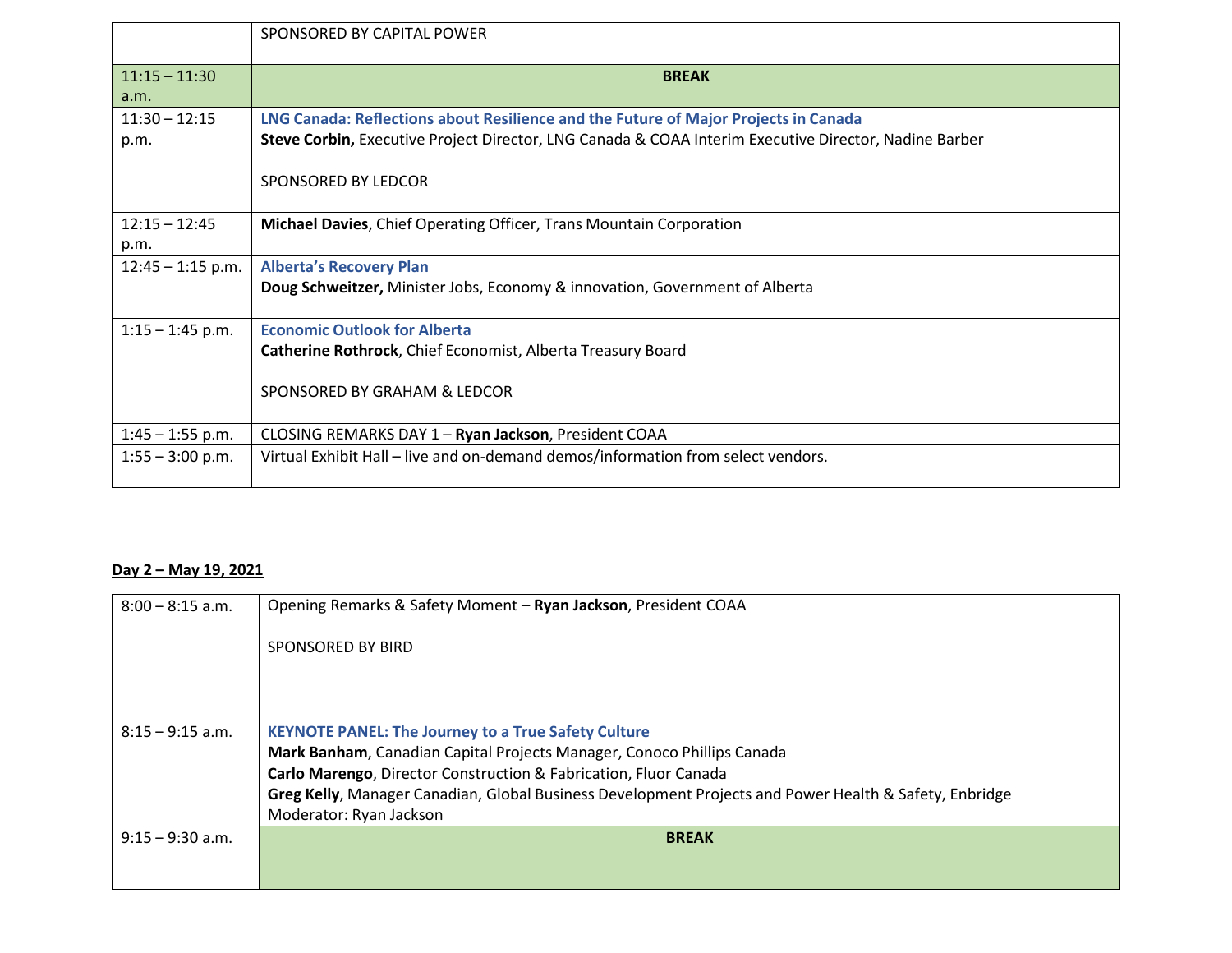|                         | SPONSORED BY CAPITAL POWER                                                                                                                                                                   |  |  |  |  |
|-------------------------|----------------------------------------------------------------------------------------------------------------------------------------------------------------------------------------------|--|--|--|--|
| $11:15 - 11:30$<br>a.m. | <b>BREAK</b>                                                                                                                                                                                 |  |  |  |  |
| $11:30 - 12:15$<br>p.m. | LNG Canada: Reflections about Resilience and the Future of Major Projects in Canada<br>Steve Corbin, Executive Project Director, LNG Canada & COAA Interim Executive Director, Nadine Barber |  |  |  |  |
|                         | SPONSORED BY LEDCOR                                                                                                                                                                          |  |  |  |  |
| $12:15 - 12:45$<br>p.m. | Michael Davies, Chief Operating Officer, Trans Mountain Corporation                                                                                                                          |  |  |  |  |
| $12:45 - 1:15$ p.m.     | <b>Alberta's Recovery Plan</b><br>Doug Schweitzer, Minister Jobs, Economy & innovation, Government of Alberta                                                                                |  |  |  |  |
| $1:15 - 1:45$ p.m.      | <b>Economic Outlook for Alberta</b><br>Catherine Rothrock, Chief Economist, Alberta Treasury Board<br>SPONSORED BY GRAHAM & LEDCOR                                                           |  |  |  |  |
| $1:45 - 1:55$ p.m.      | CLOSING REMARKS DAY 1 - Ryan Jackson, President COAA                                                                                                                                         |  |  |  |  |
| $1:55 - 3:00$ p.m.      | Virtual Exhibit Hall - live and on-demand demos/information from select vendors.                                                                                                             |  |  |  |  |

## **Day 2 – May 19, 2021**

| $8:00 - 8:15$ a.m. | Opening Remarks & Safety Moment - Ryan Jackson, President COAA                                         |  |  |  |  |  |
|--------------------|--------------------------------------------------------------------------------------------------------|--|--|--|--|--|
|                    | SPONSORED BY BIRD                                                                                      |  |  |  |  |  |
|                    |                                                                                                        |  |  |  |  |  |
|                    |                                                                                                        |  |  |  |  |  |
| $8:15 - 9:15$ a.m. | <b>KEYNOTE PANEL: The Journey to a True Safety Culture</b>                                             |  |  |  |  |  |
|                    | Mark Banham, Canadian Capital Projects Manager, Conoco Phillips Canada                                 |  |  |  |  |  |
|                    | Carlo Marengo, Director Construction & Fabrication, Fluor Canada                                       |  |  |  |  |  |
|                    | Greg Kelly, Manager Canadian, Global Business Development Projects and Power Health & Safety, Enbridge |  |  |  |  |  |
|                    | Moderator: Ryan Jackson                                                                                |  |  |  |  |  |
| $9:15 - 9:30$ a.m. | <b>BREAK</b>                                                                                           |  |  |  |  |  |
|                    |                                                                                                        |  |  |  |  |  |
|                    |                                                                                                        |  |  |  |  |  |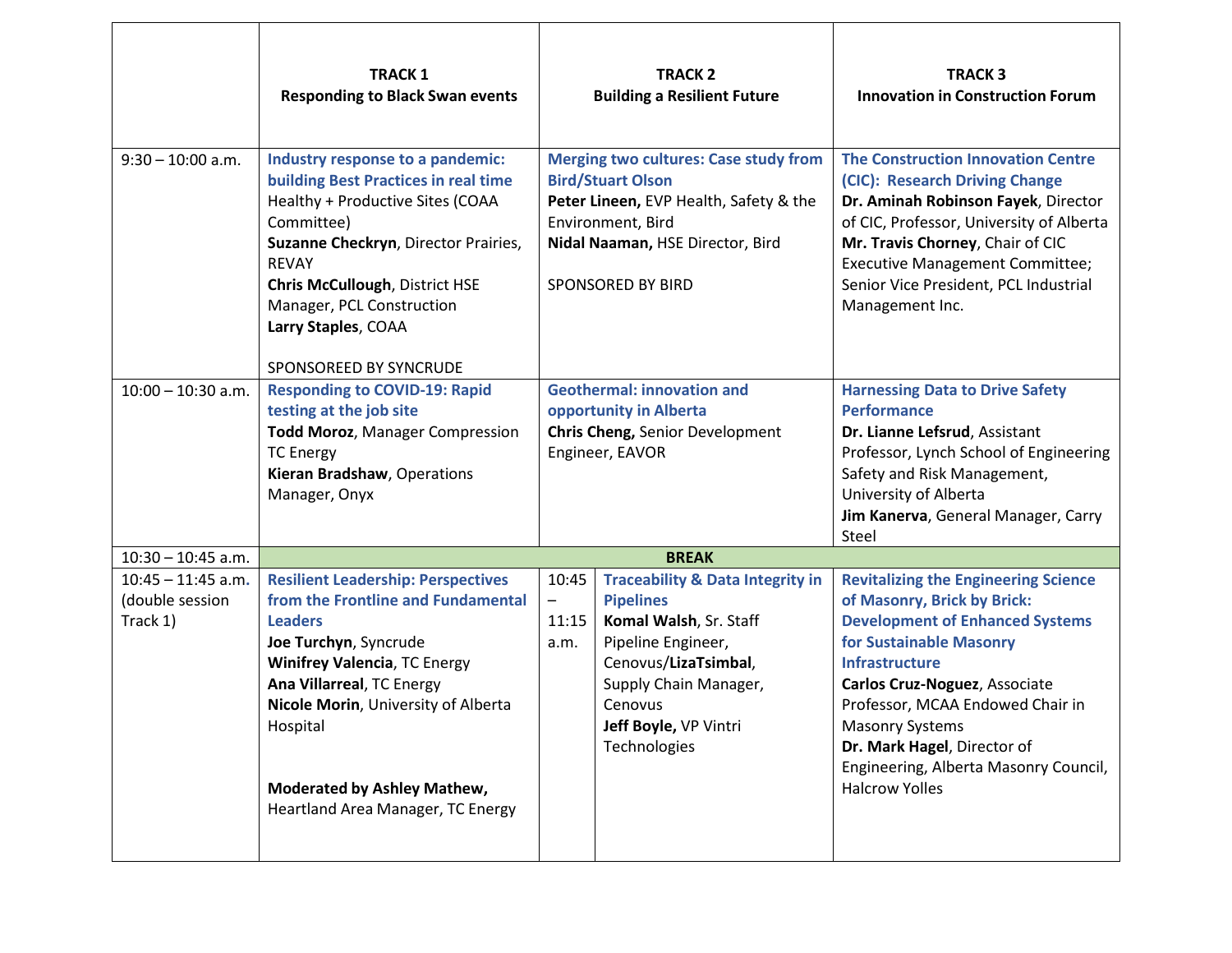|                                                     | <b>TRACK1</b><br><b>Responding to Black Swan events</b>                                                                                                                                                                                                                                                               | <b>TRACK 2</b><br><b>Building a Resilient Future</b>                                                                                                                                             |                                                                                                                                                                                                                      | <b>TRACK3</b><br><b>Innovation in Construction Forum</b>                                                                                                                                                                                                                                                                                                                 |  |
|-----------------------------------------------------|-----------------------------------------------------------------------------------------------------------------------------------------------------------------------------------------------------------------------------------------------------------------------------------------------------------------------|--------------------------------------------------------------------------------------------------------------------------------------------------------------------------------------------------|----------------------------------------------------------------------------------------------------------------------------------------------------------------------------------------------------------------------|--------------------------------------------------------------------------------------------------------------------------------------------------------------------------------------------------------------------------------------------------------------------------------------------------------------------------------------------------------------------------|--|
| $9:30 - 10:00$ a.m.                                 | Industry response to a pandemic:<br>building Best Practices in real time<br>Healthy + Productive Sites (COAA<br>Committee)<br>Suzanne Checkryn, Director Prairies,<br><b>REVAY</b><br><b>Chris McCullough, District HSE</b><br>Manager, PCL Construction<br>Larry Staples, COAA<br>SPONSOREED BY SYNCRUDE             | <b>Merging two cultures: Case study from</b><br><b>Bird/Stuart Olson</b><br>Peter Lineen, EVP Health, Safety & the<br>Environment, Bird<br>Nidal Naaman, HSE Director, Bird<br>SPONSORED BY BIRD |                                                                                                                                                                                                                      | <b>The Construction Innovation Centre</b><br>(CIC): Research Driving Change<br>Dr. Aminah Robinson Fayek, Director<br>of CIC, Professor, University of Alberta<br>Mr. Travis Chorney, Chair of CIC<br><b>Executive Management Committee;</b><br>Senior Vice President, PCL Industrial<br>Management Inc.                                                                 |  |
| $10:00 - 10:30$ a.m.                                | <b>Responding to COVID-19: Rapid</b><br>testing at the job site<br><b>Todd Moroz, Manager Compression</b><br><b>TC Energy</b><br>Kieran Bradshaw, Operations<br>Manager, Onyx                                                                                                                                         | <b>Geothermal: innovation and</b><br>opportunity in Alberta<br>Chris Cheng, Senior Development<br>Engineer, EAVOR                                                                                |                                                                                                                                                                                                                      | <b>Harnessing Data to Drive Safety</b><br><b>Performance</b><br>Dr. Lianne Lefsrud, Assistant<br>Professor, Lynch School of Engineering<br>Safety and Risk Management,<br>University of Alberta<br>Jim Kanerva, General Manager, Carry<br>Steel                                                                                                                          |  |
| $10:30 - 10:45$ a.m.                                |                                                                                                                                                                                                                                                                                                                       | <b>BREAK</b>                                                                                                                                                                                     |                                                                                                                                                                                                                      |                                                                                                                                                                                                                                                                                                                                                                          |  |
| $10:45 - 11:45$ a.m.<br>(double session<br>Track 1) | <b>Resilient Leadership: Perspectives</b><br>from the Frontline and Fundamental<br><b>Leaders</b><br>Joe Turchyn, Syncrude<br><b>Winifrey Valencia, TC Energy</b><br>Ana Villarreal, TC Energy<br>Nicole Morin, University of Alberta<br>Hospital<br>Moderated by Ashley Mathew,<br>Heartland Area Manager, TC Energy | 10:45<br>$\qquad \qquad \qquad$<br>11:15<br>a.m.                                                                                                                                                 | <b>Traceability &amp; Data Integrity in</b><br><b>Pipelines</b><br>Komal Walsh, Sr. Staff<br>Pipeline Engineer,<br>Cenovus/LizaTsimbal,<br>Supply Chain Manager,<br>Cenovus<br>Jeff Boyle, VP Vintri<br>Technologies | <b>Revitalizing the Engineering Science</b><br>of Masonry, Brick by Brick:<br><b>Development of Enhanced Systems</b><br>for Sustainable Masonry<br><b>Infrastructure</b><br>Carlos Cruz-Noguez, Associate<br>Professor, MCAA Endowed Chair in<br><b>Masonry Systems</b><br>Dr. Mark Hagel, Director of<br>Engineering, Alberta Masonry Council,<br><b>Halcrow Yolles</b> |  |